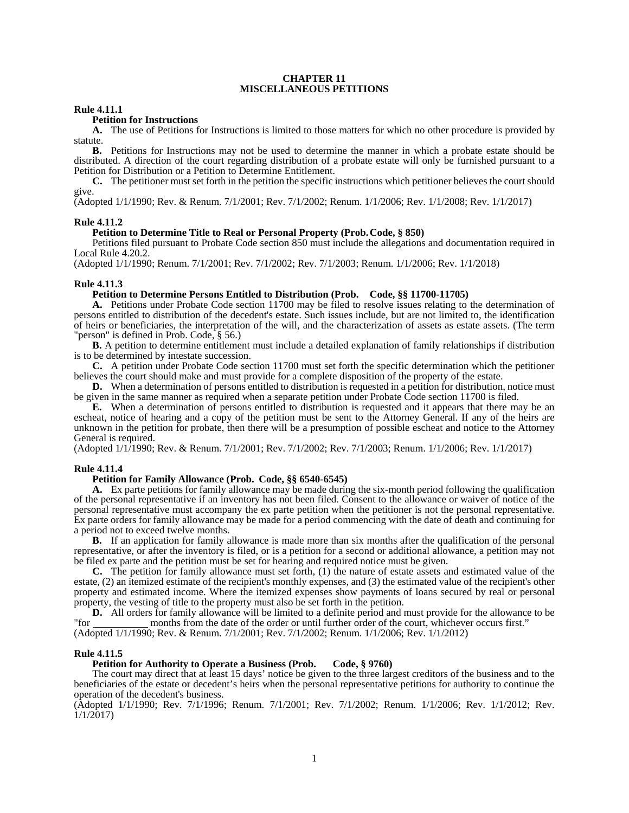#### **CHAPTER 11 MISCELLANEOUS PETITIONS**

### **Rule 4.11.1**

# **Petition for Instructions**

**A.** The use of Petitions for Instructions is limited to those matters for which no other procedure is provided by statute.

**B.** Petitions for Instructions may not be used to determine the manner in which a probate estate should be distributed. A direction of the court regarding distribution of a probate estate will only be furnished pursuant to a Petition for Distribution or a Petition to Determine Entitlement.

**C.** The petitioner must set forth in the petition the specific instructions which petitioner believes the court should give.

(Adopted 1/1/1990; Rev. & Renum. 7/1/2001; Rev. 7/1/2002; Renum. 1/1/2006; Rev. 1/1/2008; Rev. 1/1/2017)

#### **Rule 4.11.2**

#### **Petition to Determine Title to Real or Personal Property (Prob. Code, § 850)**

 Petitions filed pursuant to Probate Code section 850 must include the allegations and documentation required in Local Rule 4.20.2.

(Adopted 1/1/1990; Renum. 7/1/2001; Rev. 7/1/2002; Rev. 7/1/2003; Renum. 1/1/2006; Rev. 1/1/2018)

#### **Rule 4.11.3**

### **Petition to Determine Persons Entitled to Distribution (Prob. Code, §§ 11700-11705)**

**A.** Petitions under Probate Code section 11700 may be filed to resolve issues relating to the determination of persons entitled to distribution of the decedent's estate. Such issues include, but are not limited to, the identification of heirs or beneficiaries, the interpretation of the will, and the characterization of assets as estate assets. (The term "person" is defined in Prob. Code, § 56.)

 **B.** A petition to determine entitlement must include a detailed explanation of family relationships if distribution is to be determined by intestate succession.

**C.** A petition under Probate Code section 11700 must set forth the specific determination which the petitioner believes the court should make and must provide for a complete disposition of the property of the estate.

**D.** When a determination of persons entitled to distribution is requested in a petition for distribution, notice must be given in the same manner as required when a separate petition under Probate Code section 11700 is filed.

**E.** When a determination of persons entitled to distribution is requested and it appears that there may be an escheat, notice of hearing and a copy of the petition must be sent to the Attorney General. If any of the heirs are unknown in the petition for probate, then there will be a presumption of possible escheat and notice to the Attorney General is required.

(Adopted 1/1/1990; Rev. & Renum. 7/1/2001; Rev. 7/1/2002; Rev. 7/1/2003; Renum. 1/1/2006; Rev. 1/1/2017)

## **Rule 4.11.4**

### **Petition for Family Allowan**c**e (Prob. Code, §§ 6540-6545)**

**A.** Ex parte petitions for family allowance may be made during the six-month period following the qualification of the personal representative if an inventory has not been filed. Consent to the allowance or waiver of notice of the personal representative must accompany the ex parte petition when the petitioner is not the personal representative. Ex parte orders for family allowance may be made for a period commencing with the date of death and continuing for a period not to exceed twelve months.

**B.** If an application for family allowance is made more than six months after the qualification of the personal representative, or after the inventory is filed, or is a petition for a second or additional allowance, a petition may not be filed ex parte and the petition must be set for hearing and required notice must be given.

**C.** The petition for family allowance must set forth, (1) the nature of estate assets and estimated value of the estate, (2) an itemized estimate of the recipient's monthly expenses, and (3) the estimated value of the recipient's other property and estimated income. Where the itemized expenses show payments of loans secured by real or personal property, the vesting of title to the property must also be set forth in the petition.

**D.** All orders for family allowance will be limited to a definite period and must provide for the allowance to be months from the date of the order or until further order of the court, whichever occurs first." months from the date of the order or until further order of the court, whichever occurs first."

(Adopted 1/1/1990; Rev. & Renum. 7/1/2001; Rev. 7/1/2002; Renum. 1/1/2006; Rev. 1/1/2012)

#### **Rule 4.11.5**

#### **Petition for Authority to Operate a Business (Prob. Code, § 9760)**

 The court may direct that at least 15 days' notice be given to the three largest creditors of the business and to the beneficiaries of the estate or decedent's heirs when the personal representative petitions for authority to continue the operation of the decedent's business.

(Adopted 1/1/1990; Rev. 7/1/1996; Renum. 7/1/2001; Rev. 7/1/2002; Renum. 1/1/2006; Rev. 1/1/2012; Rev. 1/1/2017)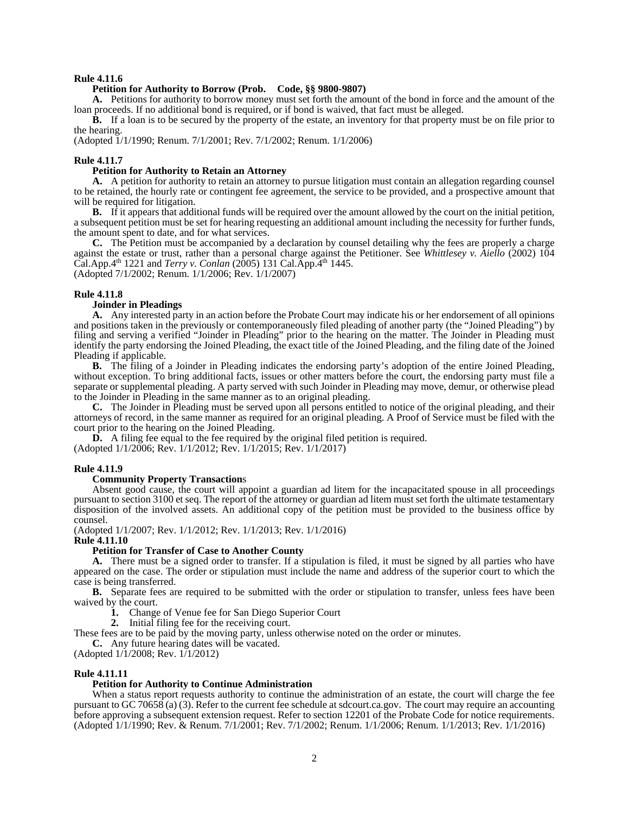## **Rule 4.11.6**

### **Petition for Authority to Borrow (Prob. Code, §§ 9800-9807)**

**A.** Petitions for authority to borrow money must set forth the amount of the bond in force and the amount of the loan proceeds. If no additional bond is required, or if bond is waived, that fact must be alleged.

**B.** If a loan is to be secured by the property of the estate, an inventory for that property must be on file prior to the hearing.

(Adopted 1/1/1990; Renum. 7/1/2001; Rev. 7/1/2002; Renum. 1/1/2006)

#### **Rule 4.11.7**

## **Petition for Authority to Retain an Attorney**

**A.** A petition for authority to retain an attorney to pursue litigation must contain an allegation regarding counsel to be retained, the hourly rate or contingent fee agreement, the service to be provided, and a prospective amount that will be required for litigation.

**B.** If it appears that additional funds will be required over the amount allowed by the court on the initial petition, a subsequent petition must be set for hearing requesting an additional amount including the necessity for further funds, the amount spent to date, and for what services.

**C.** The Petition must be accompanied by a declaration by counsel detailing why the fees are properly a charge against the estate or trust, rather than a personal charge against the Petitioner. See *Whittlesey v. Aiello* (2002) 104 Cal.App.4th 1221 and *Terry v. Conlan* (2005) 131 Cal.App.4th 1445. (Adopted 7/1/2002; Renum. 1/1/2006; Rev. 1/1/2007)

#### **Rule 4.11.8**

### **Joinder in Pleadings**

**A.** Any interested party in an action before the Probate Court may indicate his or her endorsement of all opinions and positions taken in the previously or contemporaneously filed pleading of another party (the "Joined Pleading") by filing and serving a verified "Joinder in Pleading" prior to the hearing on the matter. The Joinder in Pleading must identify the party endorsing the Joined Pleading, the exact title of the Joined Pleading, and the filing date of the Joined Pleading if applicable.

**B.** The filing of a Joinder in Pleading indicates the endorsing party's adoption of the entire Joined Pleading, without exception. To bring additional facts, issues or other matters before the court, the endorsing party must file a separate or supplemental pleading. A party served with such Joinder in Pleading may move, demur, or otherwise plead to the Joinder in Pleading in the same manner as to an original pleading.

**C.** The Joinder in Pleading must be served upon all persons entitled to notice of the original pleading, and their attorneys of record, in the same manner as required for an original pleading. A Proof of Service must be filed with the court prior to the hearing on the Joined Pleading.

D. A filing fee equal to the fee required by the original filed petition is required.

(Adopted 1/1/2006; Rev. 1/1/2012; Rev. 1/1/2015; Rev. 1/1/2017)

#### **Rule 4.11.9**

#### **Community Property Transaction**s

 Absent good cause, the court will appoint a guardian ad litem for the incapacitated spouse in all proceedings pursuant to section 3100 et seq. The report of the attorney or guardian ad litem must set forth the ultimate testamentary disposition of the involved assets. An additional copy of the petition must be provided to the business office by counsel.

(Adopted 1/1/2007; Rev. 1/1/2012; Rev. 1/1/2013; Rev. 1/1/2016)

**Rule 4.11.10** 

## **Petition for Transfer of Case to Another County**

 **A.** There must be a signed order to transfer. If a stipulation is filed, it must be signed by all parties who have appeared on the case. The order or stipulation must include the name and address of the superior court to which the case is being transferred.

**B.** Separate fees are required to be submitted with the order or stipulation to transfer, unless fees have been waived by the court.

- **1.** Change of Venue fee for San Diego Superior Court
- **2.** Initial filing fee for the receiving court.

These fees are to be paid by the moving party, unless otherwise noted on the order or minutes.

**C.** Any future hearing dates will be vacated.

(Adopted 1/1/2008; Rev. 1/1/2012)

#### **Rule 4.11.11**

### **Petition for Authority to Continue Administration**

 When a status report requests authority to continue the administration of an estate, the court will charge the fee pursuant to GC 70658 (a) (3). Refer to the current fee schedule at sdcourt.ca.gov. The court may require an accounting before approving a subsequent extension request. Refer to section 12201 of the Probate Code for notice requirements. (Adopted 1/1/1990; Rev. & Renum. 7/1/2001; Rev. 7/1/2002; Renum. 1/1/2006; Renum. 1/1/2013; Rev. 1/1/2016)